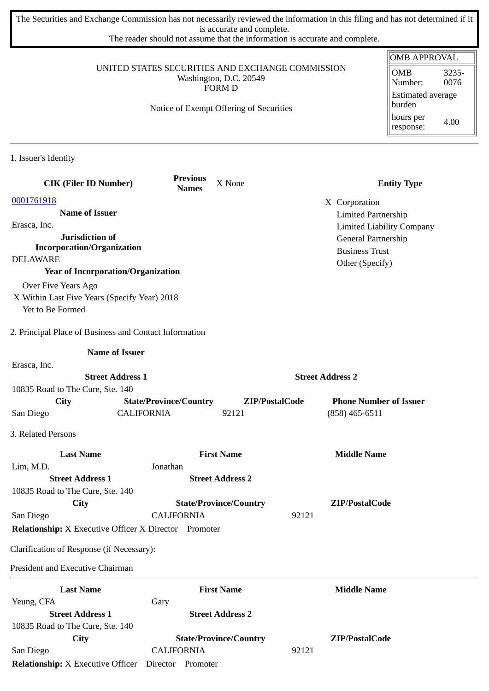The Securities and Exchange Commission has not necessarily reviewed the information in this filing and has not determined if it is accurate and complete.

The reader should not assume that the information is accurate and complete.

|                                                              | <b>OMB APPROVAL</b>                                         |                               |                         |                                          |
|--------------------------------------------------------------|-------------------------------------------------------------|-------------------------------|-------------------------|------------------------------------------|
| UNITED STATES SECURITIES AND EXCHANGE COMMISSION             | <b>OMB</b><br>3235-<br>0076<br>Number:<br>Estimated average |                               |                         |                                          |
|                                                              | Notice of Exempt Offering of Securities                     |                               |                         | burden<br>hours per<br>4.00<br>response: |
| 1. Issuer's Identity                                         |                                                             |                               |                         |                                          |
| <b>CIK (Filer ID Number)</b>                                 | <b>Previous</b><br><b>Names</b>                             | X None                        |                         | <b>Entity Type</b>                       |
| 0001761918                                                   |                                                             |                               | X Corporation           |                                          |
| <b>Name of Issuer</b>                                        |                                                             |                               |                         | <b>Limited Partnership</b>               |
| Erasca, Inc.                                                 |                                                             |                               |                         | <b>Limited Liability Company</b>         |
| <b>Jurisdiction of</b><br><b>Incorporation/Organization</b>  |                                                             |                               |                         | General Partnership                      |
| <b>DELAWARE</b>                                              |                                                             |                               |                         | <b>Business Trust</b>                    |
| <b>Year of Incorporation/Organization</b>                    |                                                             |                               |                         | Other (Specify)                          |
| Over Five Years Ago                                          |                                                             |                               |                         |                                          |
| X Within Last Five Years (Specify Year) 2018                 |                                                             |                               |                         |                                          |
| Yet to Be Formed                                             |                                                             |                               |                         |                                          |
| 2. Principal Place of Business and Contact Information       |                                                             |                               |                         |                                          |
| <b>Name of Issuer</b>                                        |                                                             |                               |                         |                                          |
| Erasca, Inc.                                                 |                                                             |                               |                         |                                          |
| <b>Street Address 1</b>                                      |                                                             |                               | <b>Street Address 2</b> |                                          |
| 10835 Road to The Cure, Ste. 140                             |                                                             |                               |                         |                                          |
| City<br>San Diego                                            | <b>State/Province/Country</b><br><b>CALIFORNIA</b>          | ZIP/PostalCode<br>92121       | $(858)$ 465-6511        | <b>Phone Number of Issuer</b>            |
|                                                              |                                                             |                               |                         |                                          |
| 3. Related Persons                                           |                                                             |                               |                         |                                          |
| <b>Last Name</b>                                             |                                                             | <b>First Name</b>             |                         | <b>Middle Name</b>                       |
| Lim, M.D.                                                    | Jonathan                                                    |                               |                         |                                          |
| <b>Street Address 1</b>                                      |                                                             | <b>Street Address 2</b>       |                         |                                          |
| 10835 Road to The Cure, Ste. 140                             |                                                             |                               |                         |                                          |
| City                                                         |                                                             | <b>State/Province/Country</b> |                         | ZIP/PostalCode                           |
| San Diego                                                    | <b>CALIFORNIA</b>                                           |                               | 92121                   |                                          |
| <b>Relationship:</b> X Executive Officer X Director Promoter |                                                             |                               |                         |                                          |
| Clarification of Response (if Necessary):                    |                                                             |                               |                         |                                          |
| President and Executive Chairman                             |                                                             |                               |                         |                                          |
| <b>Last Name</b>                                             |                                                             | <b>First Name</b>             |                         | <b>Middle Name</b>                       |
| Yeung, CFA                                                   | Gary                                                        |                               |                         |                                          |
| <b>Street Address 1</b>                                      |                                                             | <b>Street Address 2</b>       |                         |                                          |
| 10835 Road to The Cure, Ste. 140                             |                                                             |                               |                         |                                          |
| <b>City</b><br>San Diego                                     | <b>CALIFORNIA</b>                                           | <b>State/Province/Country</b> | 92121                   | ZIP/PostalCode                           |
|                                                              |                                                             |                               |                         |                                          |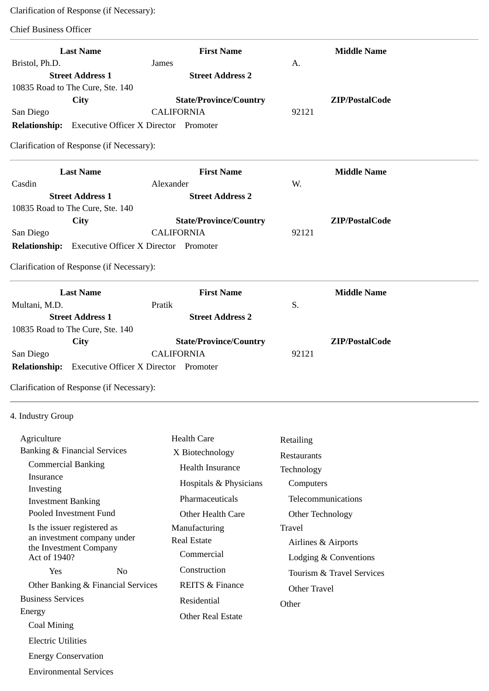Clarification of Response (if Necessary):

Chief Business Officer

|                      | <b>Last Name</b>                          | <b>First Name</b>                                          |       | <b>Middle Name</b> |
|----------------------|-------------------------------------------|------------------------------------------------------------|-------|--------------------|
| Bristol, Ph.D.       |                                           | James                                                      | A.    |                    |
|                      | <b>Street Address 1</b>                   | <b>Street Address 2</b>                                    |       |                    |
|                      | 10835 Road to The Cure, Ste. 140          |                                                            |       |                    |
|                      | City                                      | <b>State/Province/Country</b>                              |       | ZIP/PostalCode     |
| San Diego            |                                           | <b>CALIFORNIA</b>                                          | 92121 |                    |
| <b>Relationship:</b> |                                           | <b>Executive Officer X Director Promoter</b>               |       |                    |
|                      | Clarification of Response (if Necessary): |                                                            |       |                    |
|                      | <b>Last Name</b>                          | <b>First Name</b>                                          |       | <b>Middle Name</b> |
| Casdin               |                                           | Alexander                                                  | W.    |                    |
|                      | <b>Street Address 1</b>                   | <b>Street Address 2</b>                                    |       |                    |
|                      | 10835 Road to The Cure, Ste. 140          |                                                            |       |                    |
|                      | City                                      | <b>State/Province/Country</b>                              |       | ZIP/PostalCode     |
| San Diego            |                                           | <b>CALIFORNIA</b>                                          | 92121 |                    |
|                      |                                           | <b>Relationship:</b> Executive Officer X Director Promoter |       |                    |
|                      | Clarification of Response (if Necessary): |                                                            |       |                    |
|                      | <b>Last Name</b>                          | <b>First Name</b>                                          |       | <b>Middle Name</b> |
| Multani, M.D.        |                                           | Pratik                                                     | S.    |                    |
|                      | <b>Street Address 1</b>                   | <b>Street Address 2</b>                                    |       |                    |
|                      | 10835 Road to The Cure, Ste. 140          |                                                            |       |                    |
|                      | <b>City</b>                               | <b>State/Province/Country</b>                              |       | ZIP/PostalCode     |
| San Diego            |                                           | <b>CALIFORNIA</b>                                          | 92121 |                    |
|                      |                                           | <b>Relationship:</b> Executive Officer X Director Promoter |       |                    |
|                      | Clarification of Response (if Necessary): |                                                            |       |                    |

# 4. Industry Group

Environmental Services

| Agriculture                                           |                                    | <b>Health Care</b>         | Retailing                 |
|-------------------------------------------------------|------------------------------------|----------------------------|---------------------------|
| Banking & Financial Services                          |                                    | X Biotechnology            | <b>Restaurants</b>        |
| <b>Commercial Banking</b>                             |                                    | <b>Health Insurance</b>    | Technology                |
| Insurance                                             |                                    | Hospitals & Physicians     | Computers                 |
| Investing<br><b>Investment Banking</b>                |                                    | Pharmaceuticals            | Telecommunications        |
| Pooled Investment Fund                                |                                    | Other Health Care          | Other Technology          |
| Is the issuer registered as                           |                                    | Manufacturing              | Travel                    |
| an investment company under<br>the Investment Company |                                    | <b>Real Estate</b>         | Airlines & Airports       |
| Act of 1940?                                          |                                    | Commercial                 | Lodging & Conventions     |
| <b>Yes</b>                                            | N <sub>0</sub>                     | Construction               | Tourism & Travel Services |
|                                                       | Other Banking & Financial Services | <b>REITS &amp; Finance</b> | Other Travel              |
| <b>Business Services</b>                              |                                    | Residential                | Other                     |
| Energy                                                |                                    | <b>Other Real Estate</b>   |                           |
| Coal Mining                                           |                                    |                            |                           |
| <b>Electric Utilities</b>                             |                                    |                            |                           |
| <b>Energy Conservation</b>                            |                                    |                            |                           |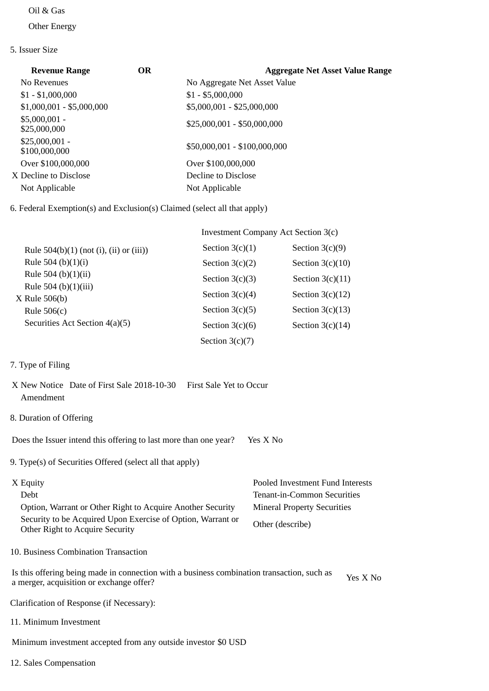#### Oil & Gas

## Other Energy

### 5. Issuer Size

| <b>Revenue Range</b>             | <b>OR</b> | <b>Aggregate Net Asset Value Range</b> |
|----------------------------------|-----------|----------------------------------------|
| No Revenues                      |           | No Aggregate Net Asset Value           |
| $$1 - $1,000,000$                |           | $$1 - $5,000,000$                      |
| $$1,000,001 - $5,000,000$        |           | \$5,000,001 - \$25,000,000             |
| $$5,000,001 -$<br>\$25,000,000   |           | \$25,000,001 - \$50,000,000            |
| $$25,000,001 -$<br>\$100,000,000 |           | \$50,000,001 - \$100,000,000           |
| Over \$100,000,000               |           | Over \$100,000,000                     |
| X Decline to Disclose            |           | Decline to Disclose                    |
| Not Applicable                   |           | Not Applicable                         |

6. Federal Exemption(s) and Exclusion(s) Claimed (select all that apply)

|                                                 | Investment Company Act Section 3(c) |                    |  |  |
|-------------------------------------------------|-------------------------------------|--------------------|--|--|
| Rule $504(b)(1)$ (not (i), (ii) or (iii))       | Section $3(c)(1)$                   | Section $3(c)(9)$  |  |  |
| Rule 504 (b) $(1)(i)$                           | Section $3(c)(2)$                   | Section $3(c)(10)$ |  |  |
| Rule 504 (b) $(1)(ii)$                          | Section $3(c)(3)$                   | Section $3(c)(11)$ |  |  |
| Rule 504 (b) $(1)(iii)$                         | Section $3(c)(4)$                   | Section $3(c)(12)$ |  |  |
| X Rule 506(b)                                   | Section $3(c)(5)$                   | Section $3(c)(13)$ |  |  |
| Rule $506(c)$<br>Securities Act Section 4(a)(5) |                                     |                    |  |  |
|                                                 | Section $3(c)(6)$                   | Section $3(c)(14)$ |  |  |
|                                                 | Section $3(c)(7)$                   |                    |  |  |

#### 7. Type of Filing

- X New Notice Date of First Sale 2018-10-30 First Sale Yet to Occur Amendment
- 8. Duration of Offering

Does the Issuer intend this offering to last more than one year? Yes X No

9. Type(s) of Securities Offered (select all that apply)

| X Equity                                                                                       | Pooled Investment Fund Interests   |
|------------------------------------------------------------------------------------------------|------------------------------------|
| Deht                                                                                           | Tenant-in-Common Securities        |
| Option, Warrant or Other Right to Acquire Another Security                                     | <b>Mineral Property Securities</b> |
| Security to be Acquired Upon Exercise of Option, Warrant or<br>Other Right to Acquire Security | Other (describe)                   |

10. Business Combination Transaction

Is this offering being made in connection with a business combination transaction, such as is this oriening being made in connection with a business combination transaction, such as  $Y$ es X No a merger, acquisition or exchange offer?

Clarification of Response (if Necessary):

- 11. Minimum Investment
- Minimum investment accepted from any outside investor \$0 USD
- 12. Sales Compensation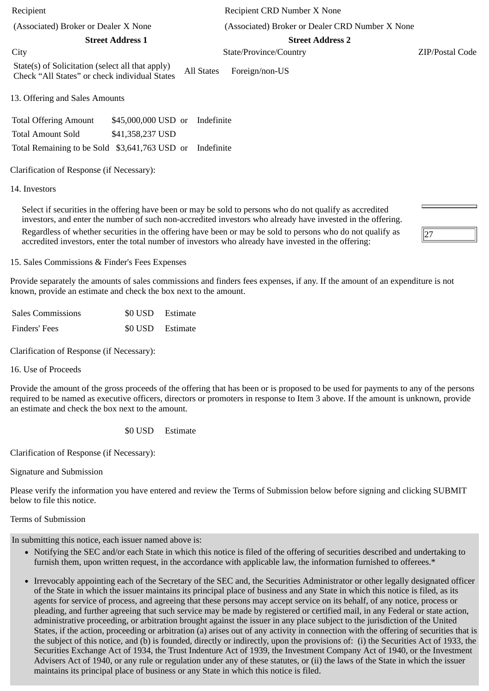Recipient Recipient CRD Number X None (Associated) Broker or Dealer X None (Associated) Broker or Dealer CRD Number X None **Street Address 1 Street Address 2** City State/Province/Country ZIP/Postal Code State(s) of Solicitation (select all that apply) Check "All States" or check individual States All States Foreign/non-US

13. Offering and Sales Amounts

Total Offering Amount \$45,000,000 USD or Indefinite Total Amount Sold \$41,358,237 USD Total Remaining to be Sold \$3,641,763 USD or Indefinite

Clarification of Response (if Necessary):

14. Investors

Select if securities in the offering have been or may be sold to persons who do not qualify as accredited investors, and enter the number of such non-accredited investors who already have invested in the offering. Regardless of whether securities in the offering have been or may be sold to persons who do not qualify as accredited investors, enter the total number of investors who already have invested in the offering:

15. Sales Commissions & Finder's Fees Expenses

Provide separately the amounts of sales commissions and finders fees expenses, if any. If the amount of an expenditure is not known, provide an estimate and check the box next to the amount.

| <b>Sales Commissions</b> | \$0 USD Estimate |
|--------------------------|------------------|
| Finders' Fees            | \$0 USD Estimate |

Clarification of Response (if Necessary):

16. Use of Proceeds

Provide the amount of the gross proceeds of the offering that has been or is proposed to be used for payments to any of the persons required to be named as executive officers, directors or promoters in response to Item 3 above. If the amount is unknown, provide an estimate and check the box next to the amount.

\$0 USD Estimate

Clarification of Response (if Necessary):

Signature and Submission

Please verify the information you have entered and review the Terms of Submission below before signing and clicking SUBMIT below to file this notice.

Terms of Submission

In submitting this notice, each issuer named above is:

- Notifying the SEC and/or each State in which this notice is filed of the offering of securities described and undertaking to furnish them, upon written request, in the accordance with applicable law, the information furnished to offerees.\*
- Irrevocably appointing each of the Secretary of the SEC and, the Securities Administrator or other legally designated officer of the State in which the issuer maintains its principal place of business and any State in which this notice is filed, as its agents for service of process, and agreeing that these persons may accept service on its behalf, of any notice, process or pleading, and further agreeing that such service may be made by registered or certified mail, in any Federal or state action, administrative proceeding, or arbitration brought against the issuer in any place subject to the jurisdiction of the United States, if the action, proceeding or arbitration (a) arises out of any activity in connection with the offering of securities that is the subject of this notice, and (b) is founded, directly or indirectly, upon the provisions of: (i) the Securities Act of 1933, the Securities Exchange Act of 1934, the Trust Indenture Act of 1939, the Investment Company Act of 1940, or the Investment Advisers Act of 1940, or any rule or regulation under any of these statutes, or (ii) the laws of the State in which the issuer maintains its principal place of business or any State in which this notice is filed.